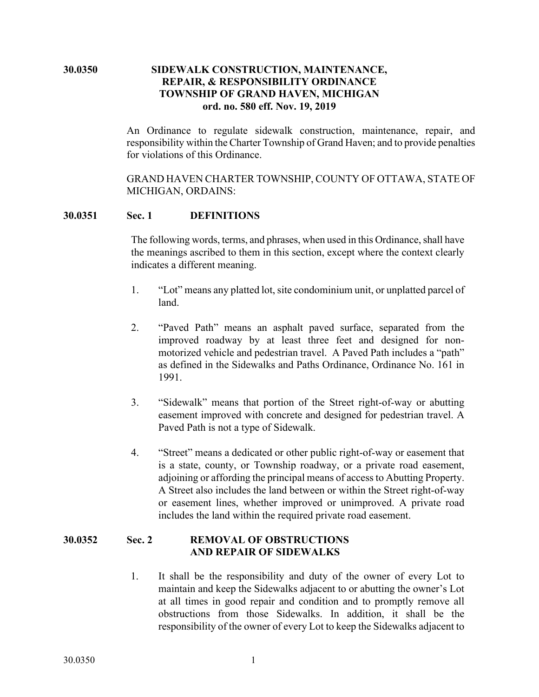## **30.0350 SIDEWALK CONSTRUCTION, MAINTENANCE, REPAIR, & RESPONSIBILITY ORDINANCE TOWNSHIP OF GRAND HAVEN, MICHIGAN ord. no. 580 eff. Nov. 19, 2019**

An Ordinance to regulate sidewalk construction, maintenance, repair, and responsibility within the Charter Township of Grand Haven; and to provide penalties for violations of this Ordinance.

GRAND HAVEN CHARTER TOWNSHIP, COUNTY OF OTTAWA, STATE OF MICHIGAN, ORDAINS:

### **30.0351 Sec. 1 DEFINITIONS**

The following words, terms, and phrases, when used in this Ordinance, shall have the meanings ascribed to them in this section, except where the context clearly indicates a different meaning.

- 1. "Lot" means any platted lot, site condominium unit, or unplatted parcel of land.
- 2. "Paved Path" means an asphalt paved surface, separated from the improved roadway by at least three feet and designed for nonmotorized vehicle and pedestrian travel. A Paved Path includes a "path" as defined in the Sidewalks and Paths Ordinance, Ordinance No. 161 in 1991.
- 3. "Sidewalk" means that portion of the Street right-of-way or abutting easement improved with concrete and designed for pedestrian travel. A Paved Path is not a type of Sidewalk.
- 4. "Street" means a dedicated or other public right-of-way or easement that is a state, county, or Township roadway, or a private road easement, adjoining or affording the principal means of access to Abutting Property. A Street also includes the land between or within the Street right-of-way or easement lines, whether improved or unimproved. A private road includes the land within the required private road easement.

# **30.0352 Sec. 2 REMOVAL OF OBSTRUCTIONS AND REPAIR OF SIDEWALKS**

1. It shall be the responsibility and duty of the owner of every Lot to maintain and keep the Sidewalks adjacent to or abutting the owner's Lot at all times in good repair and condition and to promptly remove all obstructions from those Sidewalks. In addition, it shall be the responsibility of the owner of every Lot to keep the Sidewalks adjacent to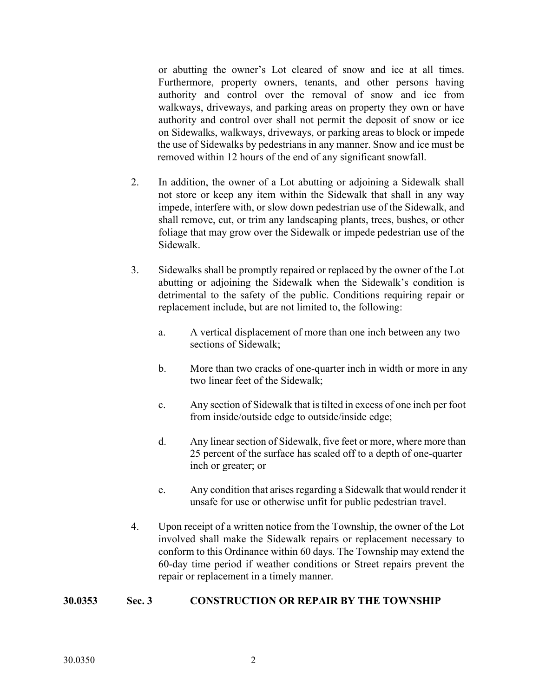or abutting the owner's Lot cleared of snow and ice at all times. Furthermore, property owners, tenants, and other persons having authority and control over the removal of snow and ice from walkways, driveways, and parking areas on property they own or have authority and control over shall not permit the deposit of snow or ice on Sidewalks, walkways, driveways, or parking areas to block or impede the use of Sidewalks by pedestrians in any manner. Snow and ice must be removed within 12 hours of the end of any significant snowfall.

- 2. In addition, the owner of a Lot abutting or adjoining a Sidewalk shall not store or keep any item within the Sidewalk that shall in any way impede, interfere with, or slow down pedestrian use of the Sidewalk, and shall remove, cut, or trim any landscaping plants, trees, bushes, or other foliage that may grow over the Sidewalk or impede pedestrian use of the Sidewalk.
- 3. Sidewalks shall be promptly repaired or replaced by the owner of the Lot abutting or adjoining the Sidewalk when the Sidewalk's condition is detrimental to the safety of the public. Conditions requiring repair or replacement include, but are not limited to, the following:
	- a. A vertical displacement of more than one inch between any two sections of Sidewalk;
	- b. More than two cracks of one-quarter inch in width or more in any two linear feet of the Sidewalk;
	- c. Any section of Sidewalk that is tilted in excess of one inch per foot from inside/outside edge to outside/inside edge;
	- d. Any linear section of Sidewalk, five feet or more, where more than 25 percent of the surface has scaled off to a depth of one-quarter inch or greater; or
	- e. Any condition that arises regarding a Sidewalk that would render it unsafe for use or otherwise unfit for public pedestrian travel.
- 4. Upon receipt of a written notice from the Township, the owner of the Lot involved shall make the Sidewalk repairs or replacement necessary to conform to this Ordinance within 60 days. The Township may extend the 60-day time period if weather conditions or Street repairs prevent the repair or replacement in a timely manner.

# **30.0353 Sec. 3 CONSTRUCTION OR REPAIR BY THE TOWNSHIP**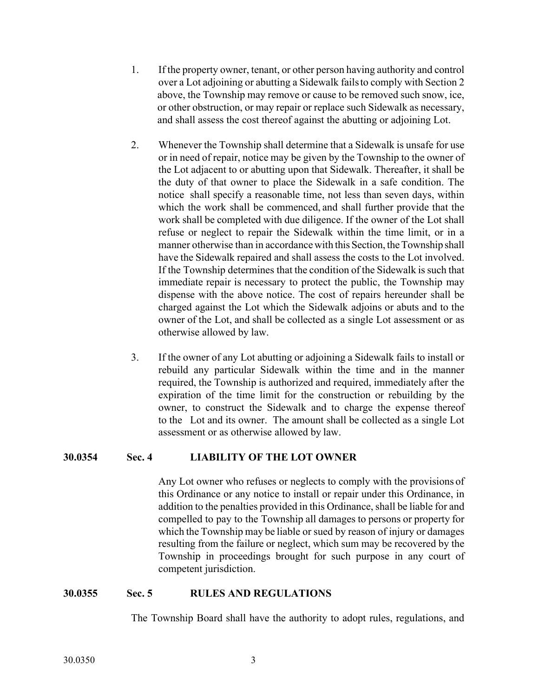- 1. If the property owner, tenant, or other person having authority and control over a Lot adjoining or abutting a Sidewalk failsto comply with Section 2 above, the Township may remove or cause to be removed such snow, ice, or other obstruction, or may repair or replace such Sidewalk as necessary, and shall assess the cost thereof against the abutting or adjoining Lot.
- 2. Whenever the Township shall determine that a Sidewalk is unsafe for use or in need of repair, notice may be given by the Township to the owner of the Lot adjacent to or abutting upon that Sidewalk. Thereafter, it shall be the duty of that owner to place the Sidewalk in a safe condition. The notice shall specify a reasonable time, not less than seven days, within which the work shall be commenced, and shall further provide that the work shall be completed with due diligence. If the owner of the Lot shall refuse or neglect to repair the Sidewalk within the time limit, or in a manner otherwise than in accordance with this Section, the Township shall have the Sidewalk repaired and shall assess the costs to the Lot involved. If the Township determines that the condition of the Sidewalk is such that immediate repair is necessary to protect the public, the Township may dispense with the above notice. The cost of repairs hereunder shall be charged against the Lot which the Sidewalk adjoins or abuts and to the owner of the Lot, and shall be collected as a single Lot assessment or as otherwise allowed by law.
- 3. If the owner of any Lot abutting or adjoining a Sidewalk fails to install or rebuild any particular Sidewalk within the time and in the manner required, the Township is authorized and required, immediately after the expiration of the time limit for the construction or rebuilding by the owner, to construct the Sidewalk and to charge the expense thereof to the Lot and its owner. The amount shall be collected as a single Lot assessment or as otherwise allowed by law.

### **30.0354 Sec. 4 LIABILITY OF THE LOT OWNER**

Any Lot owner who refuses or neglects to comply with the provisions of this Ordinance or any notice to install or repair under this Ordinance, in addition to the penalties provided in this Ordinance, shall be liable for and compelled to pay to the Township all damages to persons or property for which the Township may be liable or sued by reason of injury or damages resulting from the failure or neglect, which sum may be recovered by the Township in proceedings brought for such purpose in any court of competent jurisdiction.

### **30.0355 Sec. 5 RULES AND REGULATIONS**

The Township Board shall have the authority to adopt rules, regulations, and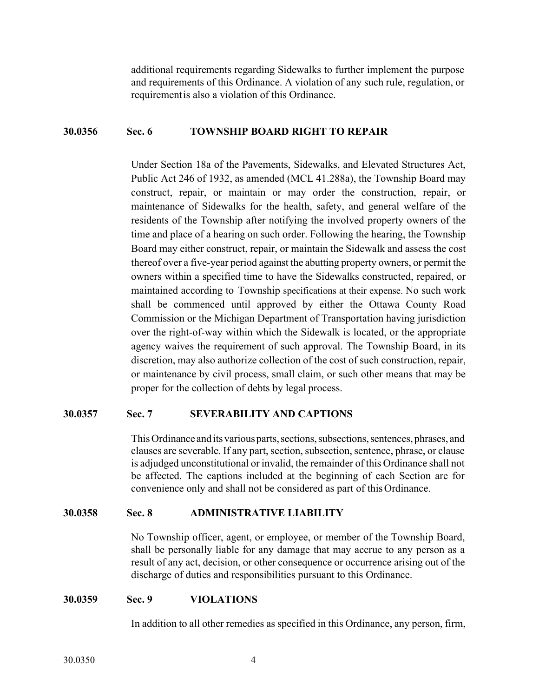additional requirements regarding Sidewalks to further implement the purpose and requirements of this Ordinance. A violation of any such rule, regulation, or requirementis also a violation of this Ordinance.

#### **30.0356 Sec. 6 TOWNSHIP BOARD RIGHT TO REPAIR**

Under Section 18a of the Pavements, Sidewalks, and Elevated Structures Act, Public Act 246 of 1932, as amended (MCL 41.288a), the Township Board may construct, repair, or maintain or may order the construction, repair, or maintenance of Sidewalks for the health, safety, and general welfare of the residents of the Township after notifying the involved property owners of the time and place of a hearing on such order. Following the hearing, the Township Board may either construct, repair, or maintain the Sidewalk and assess the cost thereof over a five-year period against the abutting property owners, or permit the owners within a specified time to have the Sidewalks constructed, repaired, or maintained according to Township specifications at their expense. No such work shall be commenced until approved by either the Ottawa County Road Commission or the Michigan Department of Transportation having jurisdiction over the right-of-way within which the Sidewalk is located, or the appropriate agency waives the requirement of such approval. The Township Board, in its discretion, may also authorize collection of the cost of such construction, repair, or maintenance by civil process, small claim, or such other means that may be proper for the collection of debts by legal process.

### **30.0357 Sec. 7 SEVERABILITY AND CAPTIONS**

This Ordinance and its various parts, sections, subsections, sentences, phrases, and clauses are severable. If any part, section, subsection, sentence, phrase, or clause is adjudged unconstitutional or invalid, the remainder of this Ordinance shall not be affected. The captions included at the beginning of each Section are for convenience only and shall not be considered as part of this Ordinance.

### **30.0358 Sec. 8 ADMINISTRATIVE LIABILITY**

No Township officer, agent, or employee, or member of the Township Board, shall be personally liable for any damage that may accrue to any person as a result of any act, decision, or other consequence or occurrence arising out of the discharge of duties and responsibilities pursuant to this Ordinance.

#### **30.0359 Sec. 9 VIOLATIONS**

In addition to all other remedies as specified in this Ordinance, any person, firm,